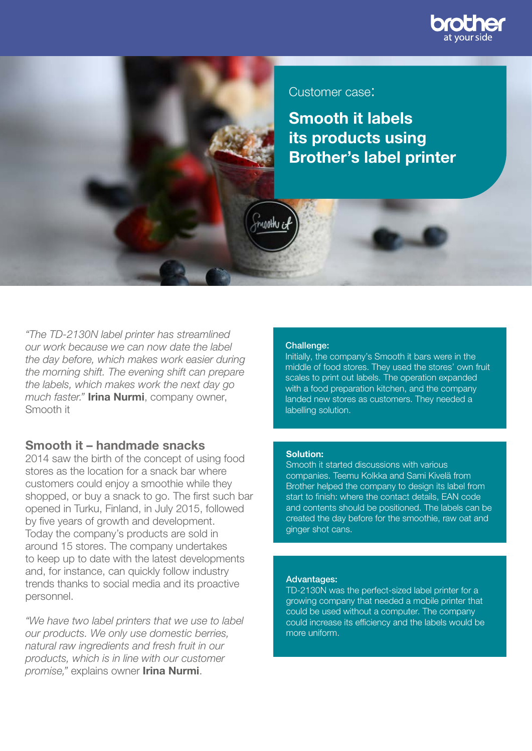

### Customer case:

Smooth it labels its products using Brother's label printer

*"The TD-2130N label printer has streamlined our work because we can now date the label the day before, which makes work easier during the morning shift. The evening shift can prepare the labels, which makes work the next day go much faster."* Irina Nurmi, company owner, Smooth it

### Smooth it – handmade snacks

2014 saw the birth of the concept of using food stores as the location for a snack bar where customers could enjoy a smoothie while they shopped, or buy a snack to go. The first such bar opened in Turku, Finland, in July 2015, followed by five years of growth and development. Today the company's products are sold in around 15 stores. The company undertakes to keep up to date with the latest developments and, for instance, can quickly follow industry trends thanks to social media and its proactive personnel.

*"We have two label printers that we use to label our products. We only use domestic berries, natural raw ingredients and fresh fruit in our products, which is in line with our customer promise,"* explains owner Irina Nurmi.

#### Challenge:

waalhu c

Initially, the company's Smooth it bars were in the middle of food stores. They used the stores' own fruit scales to print out labels. The operation expanded with a food preparation kitchen, and the company landed new stores as customers. They needed a labelling solution.

#### Solution:

Smooth it started discussions with various companies. Teemu Kolkka and Sami Kivelä from Brother helped the company to design its label from start to finish: where the contact details, EAN code and contents should be positioned. The labels can be created the day before for the smoothie, raw oat and ginger shot cans.

#### Advantages:

TD-2130N was the perfect-sized label printer for a growing company that needed a mobile printer that could be used without a computer. The company could increase its efficiency and the labels would be more uniform.